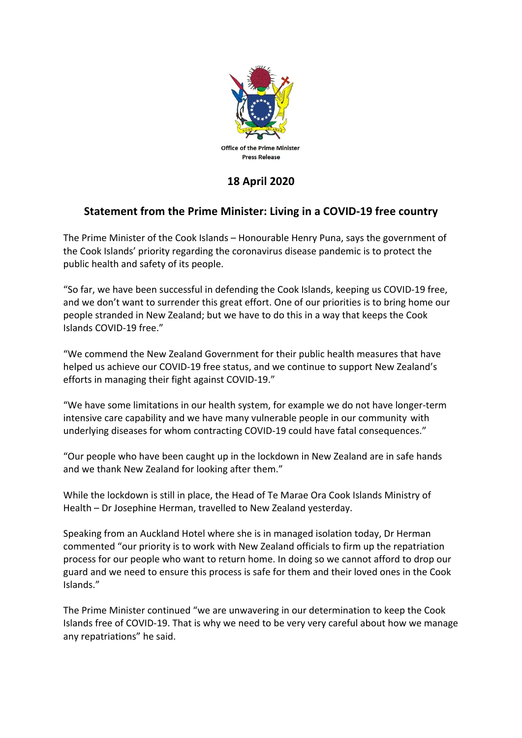

## **18 April 2020**

## **Statement from the Prime Minister: Living in a COVID-19 free country**

The Prime Minister of the Cook Islands – Honourable Henry Puna, says the government of the Cook Islands' priority regarding the coronavirus disease pandemic is to protect the public health and safety of its people.

"So far, we have been successful in defending the Cook Islands, keeping us COVID-19 free, and we don't want to surrender this great effort. One of our priorities is to bring home our people stranded in New Zealand; but we have to do this in a way that keeps the Cook Islands COVID-19 free."

"We commend the New Zealand Government for their public health measures that have helped us achieve our COVID-19 free status, and we continue to support New Zealand's efforts in managing their fight against COVID-19."

"We have some limitations in our health system, for example we do not have longer-term intensive care capability and we have many vulnerable people in our community with underlying diseases for whom contracting COVID-19 could have fatal consequences."

"Our people who have been caught up in the lockdown in New Zealand are in safe hands and we thank New Zealand for looking after them."

While the lockdown is still in place, the Head of Te Marae Ora Cook Islands Ministry of Health – Dr Josephine Herman, travelled to New Zealand yesterday.

Speaking from an Auckland Hotel where she is in managed isolation today, Dr Herman commented "our priority is to work with New Zealand officials to firm up the repatriation process for our people who want to return home. In doing so we cannot afford to drop our guard and we need to ensure this process is safe for them and their loved ones in the Cook Islands."

The Prime Minister continued "we are unwavering in our determination to keep the Cook Islands free of COVID-19. That is why we need to be very very careful about how we manage any repatriations" he said.